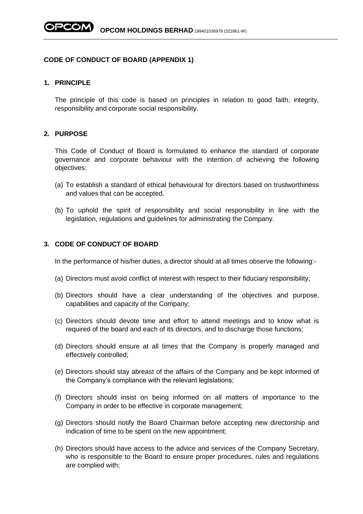## **CODE OF CONDUCT OF BOARD (APPENDIX 1)**

## **1. PRINCIPLE**

The principle of this code is based on principles in relation to good faith, integrity, responsibility and corporate social responsibility.

## **2. PURPOSE**

This Code of Conduct of Board is formulated to enhance the standard of corporate governance and corporate behaviour with the intention of achieving the following objectives:

- (a) To establish a standard of ethical behavioural for directors based on trustworthiness and values that can be accepted.
- (b) To uphold the spirit of responsibility and social responsibility in line with the legislation, regulations and guidelines for administrating the Company.

## **3. CODE OF CONDUCT OF BOARD**

In the performance of his/her duties, a director should at all times observe the following:-

- (a) Directors must avoid conflict of interest with respect to their fiduciary responsibility;
- (b) Directors should have a clear understanding of the objectives and purpose, capabilities and capacity of the Company;
- (c) Directors should devote time and effort to attend meetings and to know what is required of the board and each of its directors, and to discharge those functions;
- (d) Directors should ensure at all times that the Company is properly managed and effectively controlled;
- (e) Directors should stay abreast of the affairs of the Company and be kept informed of the Company's compliance with the relevant legislations;
- (f) Directors should insist on being informed on all matters of importance to the Company in order to be effective in corporate management;
- (g) Directors should notify the Board Chairman before accepting new directorship and indication of time to be spent on the new appointment;
- (h) Directors should have access to the advice and services of the Company Secretary, who is responsible to the Board to ensure proper procedures, rules and regulations are complied with;